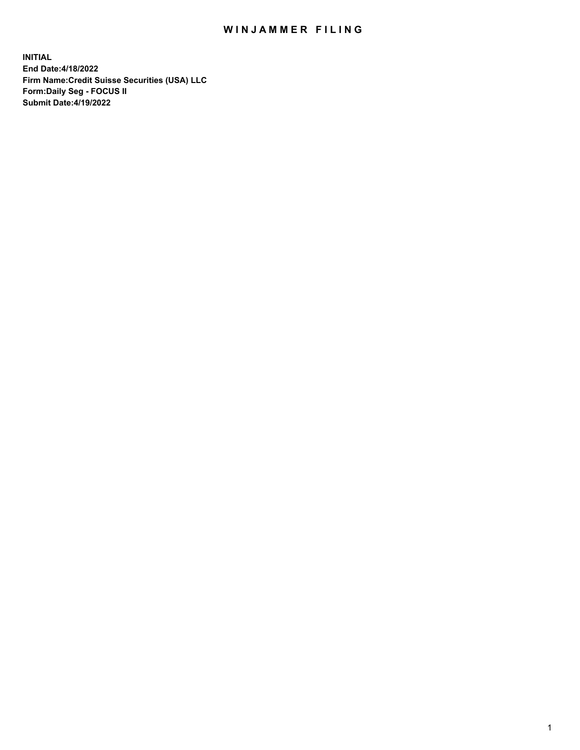# WIN JAMMER FILING

**INITIAL End Date:4/18/2022 Firm Name:Credit Suisse Securities (USA) LLC Form:Daily Seg - FOCUS II Submit Date:4/19/2022**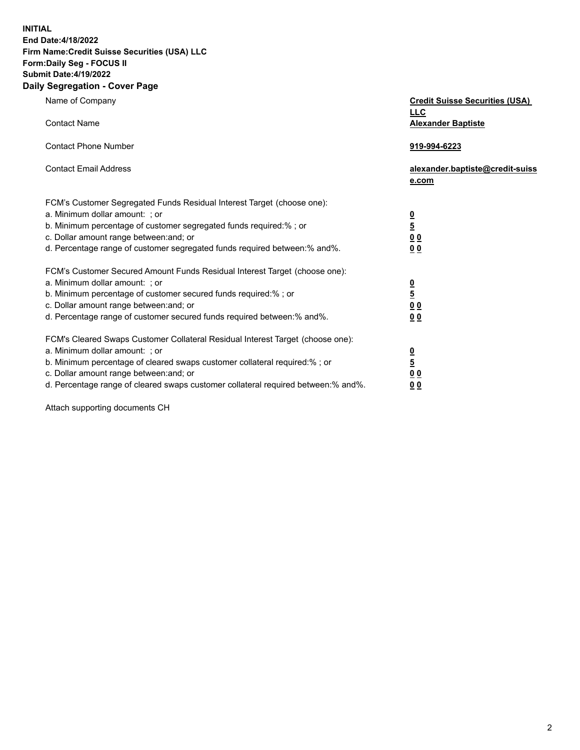**INITIAL**

#### **End Date:4/18/2022 Firm Name:Credit Suisse Securities (USA) LLC Form:Daily Seg - FOCUS II Submit Date:4/19/2022**

## **Daily Segregation - Cover Page**

| Name of Company                                                                                                                                                                                                                                                                                                                | <b>Credit Suisse Securities (USA)</b><br><b>LLC</b>                   |
|--------------------------------------------------------------------------------------------------------------------------------------------------------------------------------------------------------------------------------------------------------------------------------------------------------------------------------|-----------------------------------------------------------------------|
| <b>Contact Name</b>                                                                                                                                                                                                                                                                                                            | <b>Alexander Baptiste</b>                                             |
| <b>Contact Phone Number</b>                                                                                                                                                                                                                                                                                                    | 919-994-6223                                                          |
| <b>Contact Email Address</b>                                                                                                                                                                                                                                                                                                   | alexander.baptiste@credit-suiss<br>e.com                              |
| FCM's Customer Segregated Funds Residual Interest Target (choose one):<br>a. Minimum dollar amount: ; or<br>b. Minimum percentage of customer segregated funds required:% ; or<br>c. Dollar amount range between: and; or<br>d. Percentage range of customer segregated funds required between:% and%.                         | $\frac{\frac{0}{5}}{\frac{0}{0}}$<br>0 <sub>0</sub>                   |
| FCM's Customer Secured Amount Funds Residual Interest Target (choose one):<br>a. Minimum dollar amount: ; or<br>b. Minimum percentage of customer secured funds required:%; or<br>c. Dollar amount range between: and; or<br>d. Percentage range of customer secured funds required between:% and%.                            | $\frac{0}{5}$<br>$\underline{0}$<br>$\underline{0}$<br>0 <sub>0</sub> |
| FCM's Cleared Swaps Customer Collateral Residual Interest Target (choose one):<br>a. Minimum dollar amount: ; or<br>b. Minimum percentage of cleared swaps customer collateral required:% ; or<br>c. Dollar amount range between: and; or<br>d. Percentage range of cleared swaps customer collateral required between:% and%. | $\frac{0}{5}$<br>0 <sub>0</sub><br>0 <sub>0</sub>                     |

Attach supporting documents CH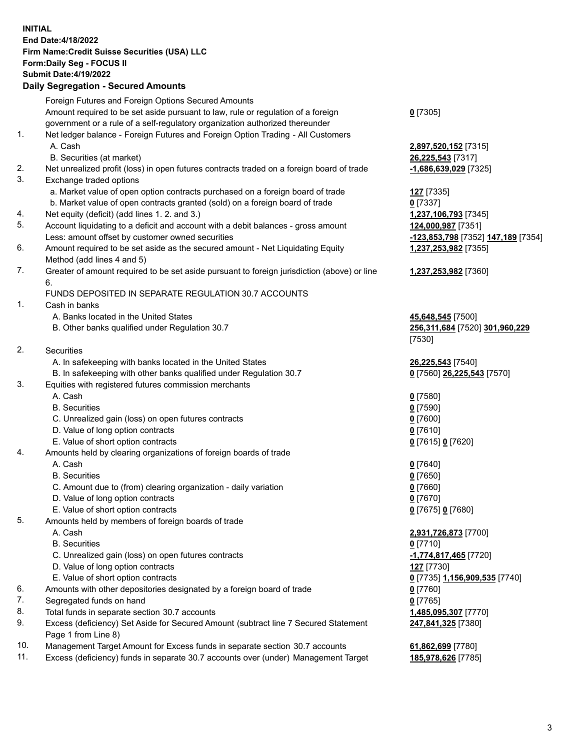#### **INITIAL End Date:4/18/2022 Firm Name:Credit Suisse Securities (USA) LLC Form:Daily Seg - FOCUS II Submit Date:4/19/2022**

## **Daily Segregation - Secured Amounts**

|     | Foreign Futures and Foreign Options Secured Amounts                                         |                                                        |
|-----|---------------------------------------------------------------------------------------------|--------------------------------------------------------|
|     | Amount required to be set aside pursuant to law, rule or regulation of a foreign            | $0$ [7305]                                             |
|     | government or a rule of a self-regulatory organization authorized thereunder                |                                                        |
| 1.  | Net ledger balance - Foreign Futures and Foreign Option Trading - All Customers             |                                                        |
|     | A. Cash                                                                                     | 2,897,520,152 [7315]                                   |
|     | B. Securities (at market)                                                                   | 26,225,543 [7317]                                      |
| 2.  | Net unrealized profit (loss) in open futures contracts traded on a foreign board of trade   | -1,686,639,029 [7325]                                  |
| 3.  | Exchange traded options                                                                     |                                                        |
|     | a. Market value of open option contracts purchased on a foreign board of trade              | 127 [7335]                                             |
|     | b. Market value of open contracts granted (sold) on a foreign board of trade                | $0$ [7337]                                             |
| 4.  | Net equity (deficit) (add lines 1. 2. and 3.)                                               | 1,237,106,793 [7345]                                   |
| 5.  | Account liquidating to a deficit and account with a debit balances - gross amount           | 124,000,987 [7351]                                     |
|     | Less: amount offset by customer owned securities                                            | <mark>-123,853,798</mark> [7352] <b>147,189</b> [7354] |
| 6.  | Amount required to be set aside as the secured amount - Net Liquidating Equity              | 1,237,253,982 [7355]                                   |
|     | Method (add lines 4 and 5)                                                                  |                                                        |
| 7.  | Greater of amount required to be set aside pursuant to foreign jurisdiction (above) or line | 1,237,253,982 [7360]                                   |
|     | 6.                                                                                          |                                                        |
|     | FUNDS DEPOSITED IN SEPARATE REGULATION 30.7 ACCOUNTS                                        |                                                        |
| 1.  | Cash in banks                                                                               |                                                        |
|     | A. Banks located in the United States                                                       | 45,648,545 [7500]                                      |
|     | B. Other banks qualified under Regulation 30.7                                              | 256,311,684 [7520] 301,960,229                         |
|     |                                                                                             | [7530]                                                 |
| 2.  | Securities                                                                                  |                                                        |
|     | A. In safekeeping with banks located in the United States                                   | 26,225,543 [7540]                                      |
|     | B. In safekeeping with other banks qualified under Regulation 30.7                          | 0 [7560] 26,225,543 [7570]                             |
| 3.  | Equities with registered futures commission merchants                                       |                                                        |
|     | A. Cash                                                                                     | $0$ [7580]                                             |
|     | <b>B.</b> Securities                                                                        | $0$ [7590]                                             |
|     | C. Unrealized gain (loss) on open futures contracts                                         | $0$ [7600]                                             |
|     | D. Value of long option contracts                                                           | $0$ [7610]                                             |
|     | E. Value of short option contracts                                                          | 0 [7615] 0 [7620]                                      |
| 4.  | Amounts held by clearing organizations of foreign boards of trade                           |                                                        |
|     | A. Cash                                                                                     | $0$ [7640]                                             |
|     | <b>B.</b> Securities                                                                        | $0$ [7650]                                             |
|     | C. Amount due to (from) clearing organization - daily variation                             | $0$ [7660]                                             |
|     | D. Value of long option contracts                                                           | $0$ [7670]                                             |
|     | E. Value of short option contracts                                                          | 0 [7675] 0 [7680]                                      |
| 5.  | Amounts held by members of foreign boards of trade                                          |                                                        |
|     | A. Cash                                                                                     | 2,931,726,873 [7700]                                   |
|     | <b>B.</b> Securities                                                                        | $0$ [7710]                                             |
|     | C. Unrealized gain (loss) on open futures contracts                                         | -1,774,817,465 [7720]                                  |
|     | D. Value of long option contracts                                                           | <b>127</b> [7730]                                      |
|     | E. Value of short option contracts                                                          | 0 [7735] 1,156,909,535 [7740]                          |
| 6.  | Amounts with other depositories designated by a foreign board of trade                      | $0$ [7760]                                             |
| 7.  | Segregated funds on hand                                                                    | $0$ [7765]                                             |
| 8.  | Total funds in separate section 30.7 accounts                                               | 1,485,095,307 [7770]                                   |
| 9.  | Excess (deficiency) Set Aside for Secured Amount (subtract line 7 Secured Statement         | 247,841,325 [7380]                                     |
|     | Page 1 from Line 8)                                                                         |                                                        |
| 10. | Management Target Amount for Excess funds in separate section 30.7 accounts                 | 61,862,699 [7780]                                      |

11. Excess (deficiency) funds in separate 30.7 accounts over (under) Management Target **185,978,626** [7785]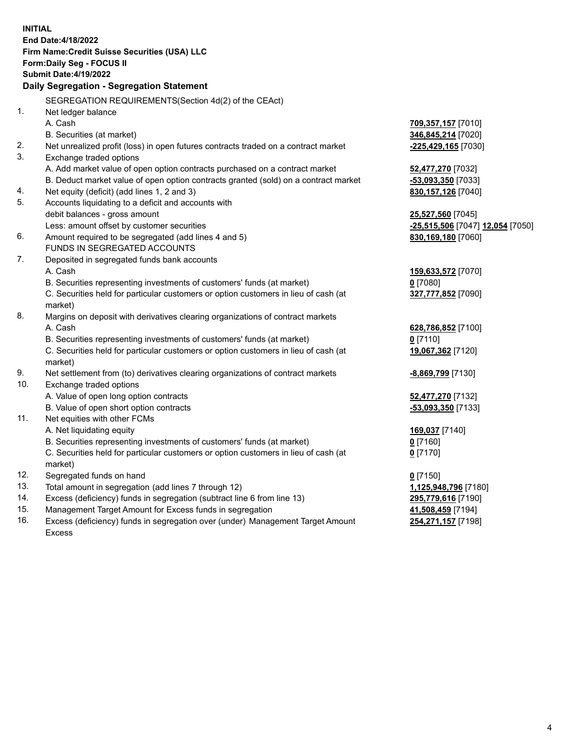| <b>INITIAL</b> | End Date: 4/18/2022<br>Firm Name: Credit Suisse Securities (USA) LLC<br>Form: Daily Seg - FOCUS II<br><b>Submit Date:4/19/2022</b><br>Daily Segregation - Segregation Statement<br>SEGREGATION REQUIREMENTS(Section 4d(2) of the CEAct) |                                           |
|----------------|-----------------------------------------------------------------------------------------------------------------------------------------------------------------------------------------------------------------------------------------|-------------------------------------------|
| 1.             | Net ledger balance<br>A. Cash                                                                                                                                                                                                           | 709,357,157 [7010]                        |
| 2.             | B. Securities (at market)<br>Net unrealized profit (loss) in open futures contracts traded on a contract market                                                                                                                         | 346,845,214 [7020]<br>-225,429,165 [7030] |
| 3.             | Exchange traded options                                                                                                                                                                                                                 |                                           |
|                | A. Add market value of open option contracts purchased on a contract market                                                                                                                                                             | 52,477,270 [7032]                         |
|                | B. Deduct market value of open option contracts granted (sold) on a contract market                                                                                                                                                     | $-53,093,350$ [7033]                      |
| 4.             | Net equity (deficit) (add lines 1, 2 and 3)                                                                                                                                                                                             | 830, 157, 126 [7040]                      |
| 5.             | Accounts liquidating to a deficit and accounts with                                                                                                                                                                                     |                                           |
|                | debit balances - gross amount                                                                                                                                                                                                           | 25,527,560 [7045]                         |
|                | Less: amount offset by customer securities                                                                                                                                                                                              | -25,515,506 [7047] 12,054 [7050]          |
| 6.             | Amount required to be segregated (add lines 4 and 5)                                                                                                                                                                                    | 830,169,180 [7060]                        |
|                | FUNDS IN SEGREGATED ACCOUNTS                                                                                                                                                                                                            |                                           |
| 7.             | Deposited in segregated funds bank accounts                                                                                                                                                                                             |                                           |
|                | A. Cash                                                                                                                                                                                                                                 | 159,633,572 [7070]                        |
|                | B. Securities representing investments of customers' funds (at market)                                                                                                                                                                  | $0$ [7080]                                |
|                | C. Securities held for particular customers or option customers in lieu of cash (at<br>market)                                                                                                                                          | 327,777,852 [7090]                        |
| 8.             | Margins on deposit with derivatives clearing organizations of contract markets                                                                                                                                                          |                                           |
|                | A. Cash                                                                                                                                                                                                                                 | 628,786,852 [7100]                        |
|                | B. Securities representing investments of customers' funds (at market)                                                                                                                                                                  | $0$ [7110]                                |
|                | C. Securities held for particular customers or option customers in lieu of cash (at<br>market)                                                                                                                                          | 19,067,362 [7120]                         |
| 9.             | Net settlement from (to) derivatives clearing organizations of contract markets                                                                                                                                                         | -8,869,799 [7130]                         |
| 10.            | Exchange traded options                                                                                                                                                                                                                 |                                           |
|                | A. Value of open long option contracts                                                                                                                                                                                                  | 52,477,270 [7132]                         |
|                | B. Value of open short option contracts                                                                                                                                                                                                 | -53,093,350 [7133]                        |
| 11.            | Net equities with other FCMs                                                                                                                                                                                                            |                                           |
|                | A. Net liquidating equity                                                                                                                                                                                                               | 169,037 [7140]                            |
|                | B. Securities representing investments of customers' funds (at market)                                                                                                                                                                  | $0$ [7160]                                |
|                | C. Securities held for particular customers or option customers in lieu of cash (at<br>market)                                                                                                                                          | $0$ [7170]                                |
| 12.            | Segregated funds on hand                                                                                                                                                                                                                | $0$ [7150]                                |
| 13.            | Total amount in segregation (add lines 7 through 12)                                                                                                                                                                                    | 1,125,948,796 [7180]                      |
| 14.            | Excess (deficiency) funds in segregation (subtract line 6 from line 13)                                                                                                                                                                 | 295,779,616 [7190]                        |
| 15.            | Management Target Amount for Excess funds in segregation                                                                                                                                                                                | 41,508,459 [7194]                         |
| 16.            | Excess (deficiency) funds in segregation over (under) Management Target Amount<br><b>Excess</b>                                                                                                                                         | 254,271,157 [7198]                        |